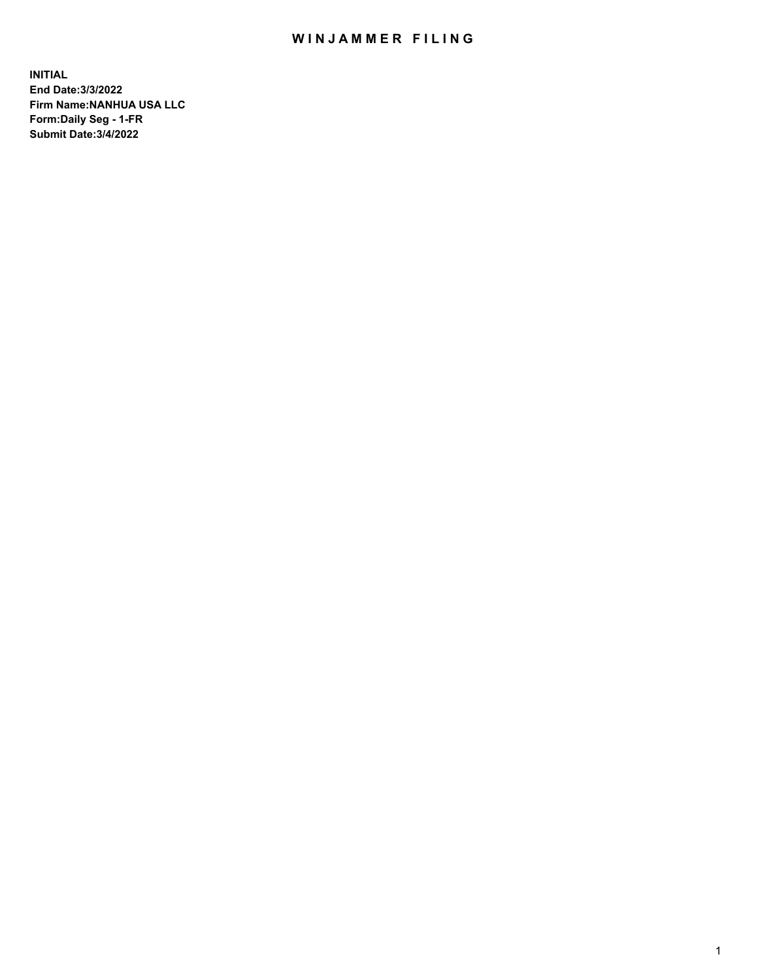# WIN JAMMER FILING

**INITIAL End Date:3/3/2022 Firm Name:NANHUA USA LLC Form:Daily Seg - 1-FR Submit Date:3/4/2022**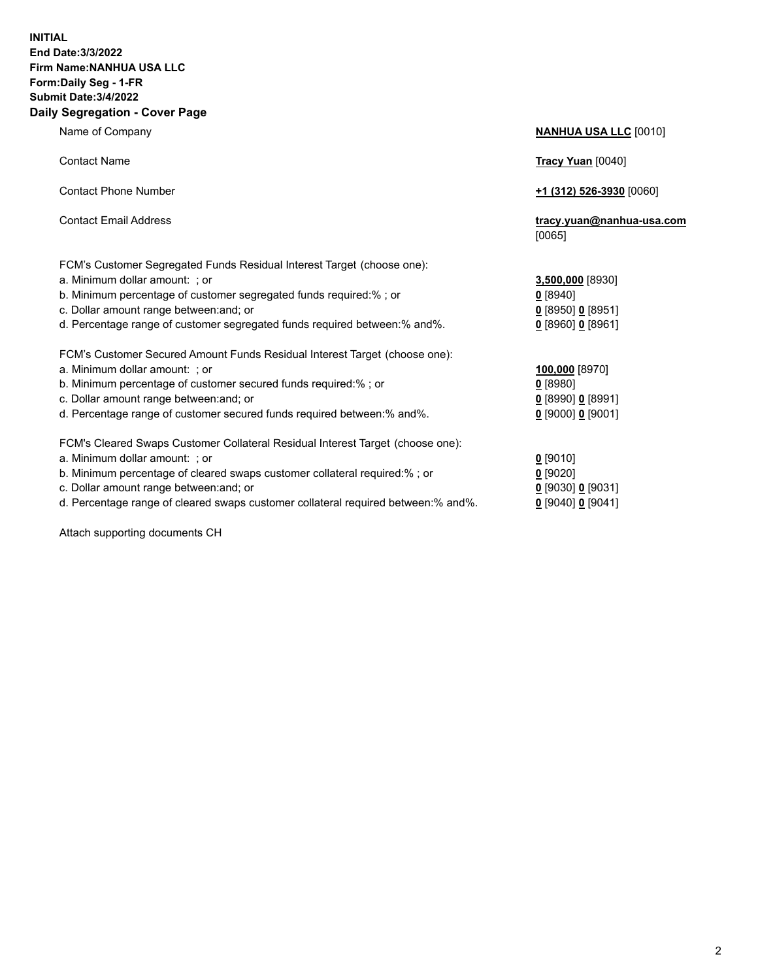### **INITIAL End Date:3/3/2022 Firm Name:NANHUA USA LLC Form:Daily Seg - 1-FR Submit Date:3/4/2022 Daily Segregation - Cover Page**

Name of Company **NANHUA USA LLC** [0010] Contact Name **Tracy Yuan** [0040] Contact Phone Number **+1 (312) 526-3930** [0060] Contact Email Address **tracy.yuan@nanhua-usa.com** [0065] FCM's Customer Segregated Funds Residual Interest Target (choose one): a. Minimum dollar amount: ; or **3,500,000** [8930] b. Minimum percentage of customer segregated funds required:% ; or **0** [8940] c. Dollar amount range between:and; or **0** [8950] **0** [8951] d. Percentage range of customer segregated funds required between:% and%. **0** [8960] **0** [8961] FCM's Customer Secured Amount Funds Residual Interest Target (choose one): a. Minimum dollar amount: ; or **100,000** [8970] b. Minimum percentage of customer secured funds required:% ; or **0** [8980] c. Dollar amount range between:and; or **0** [8990] **0** [8991] d. Percentage range of customer secured funds required between:% and%. **0** [9000] **0** [9001] FCM's Cleared Swaps Customer Collateral Residual Interest Target (choose one): a. Minimum dollar amount: ; or **0** [9010] b. Minimum percentage of cleared swaps customer collateral required:% ; or **0** [9020] c. Dollar amount range between:and; or **0** [9030] **0** [9031]

d. Percentage range of cleared swaps customer collateral required between:% and%. **0** [9040] **0** [9041]

Attach supporting documents CH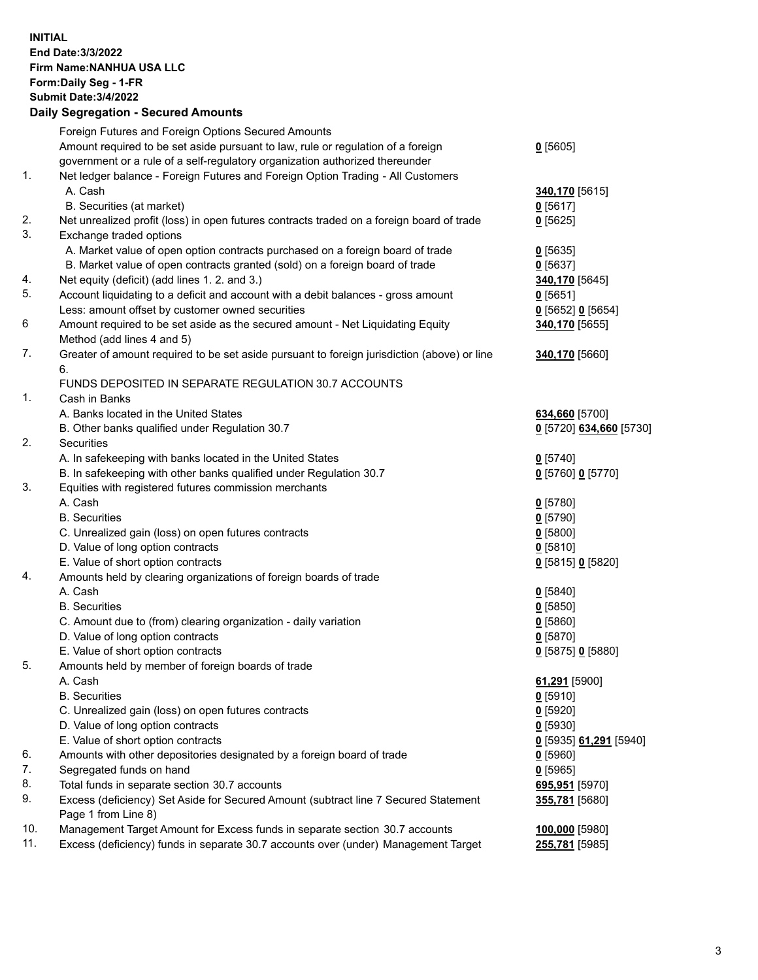## **INITIAL End Date:3/3/2022 Firm Name:NANHUA USA LLC Form:Daily Seg - 1-FR Submit Date:3/4/2022 Daily Segregation - Secured Amounts**

|     | Foreign Futures and Foreign Options Secured Amounts                                         |                         |
|-----|---------------------------------------------------------------------------------------------|-------------------------|
|     | Amount required to be set aside pursuant to law, rule or regulation of a foreign            | $0$ [5605]              |
|     | government or a rule of a self-regulatory organization authorized thereunder                |                         |
| 1.  | Net ledger balance - Foreign Futures and Foreign Option Trading - All Customers             |                         |
|     | A. Cash                                                                                     | 340,170 [5615]          |
|     | B. Securities (at market)                                                                   | 0[5617]                 |
| 2.  | Net unrealized profit (loss) in open futures contracts traded on a foreign board of trade   | $0$ [5625]              |
| 3.  | Exchange traded options                                                                     |                         |
|     | A. Market value of open option contracts purchased on a foreign board of trade              | $0$ [5635]              |
|     | B. Market value of open contracts granted (sold) on a foreign board of trade                | $0$ [5637]              |
| 4.  | Net equity (deficit) (add lines 1. 2. and 3.)                                               | 340,170 [5645]          |
| 5.  | Account liquidating to a deficit and account with a debit balances - gross amount           | $0$ [5651]              |
|     | Less: amount offset by customer owned securities                                            | 0 [5652] 0 [5654]       |
| 6   | Amount required to be set aside as the secured amount - Net Liquidating Equity              | 340,170 [5655]          |
|     | Method (add lines 4 and 5)                                                                  |                         |
| 7.  | Greater of amount required to be set aside pursuant to foreign jurisdiction (above) or line | 340,170 [5660]          |
|     | 6.                                                                                          |                         |
|     | FUNDS DEPOSITED IN SEPARATE REGULATION 30.7 ACCOUNTS                                        |                         |
| 1.  | Cash in Banks                                                                               |                         |
|     | A. Banks located in the United States                                                       | 634,660 [5700]          |
|     | B. Other banks qualified under Regulation 30.7                                              | 0 [5720] 634,660 [5730] |
| 2.  | <b>Securities</b>                                                                           |                         |
|     | A. In safekeeping with banks located in the United States                                   | $0$ [5740]              |
|     | B. In safekeeping with other banks qualified under Regulation 30.7                          | 0 [5760] 0 [5770]       |
| 3.  | Equities with registered futures commission merchants                                       |                         |
|     | A. Cash                                                                                     | $0$ [5780]              |
|     | <b>B.</b> Securities                                                                        | $0$ [5790]              |
|     | C. Unrealized gain (loss) on open futures contracts                                         | $0$ [5800]              |
|     | D. Value of long option contracts                                                           | $0$ [5810]              |
|     | E. Value of short option contracts                                                          | 0 [5815] 0 [5820]       |
| 4.  | Amounts held by clearing organizations of foreign boards of trade                           |                         |
|     | A. Cash                                                                                     | $0$ [5840]              |
|     | <b>B.</b> Securities                                                                        | $0$ [5850]              |
|     | C. Amount due to (from) clearing organization - daily variation                             | 0[5860]                 |
|     | D. Value of long option contracts                                                           | $0$ [5870]              |
|     | E. Value of short option contracts                                                          | $0$ [5875] 0 [5880]     |
| 5.  | Amounts held by member of foreign boards of trade                                           |                         |
|     | A. Cash                                                                                     | 61,291 [5900]           |
|     | <b>B.</b> Securities                                                                        | $0$ [5910]              |
|     | C. Unrealized gain (loss) on open futures contracts                                         | $0$ [5920]              |
|     | D. Value of long option contracts                                                           | $0$ [5930]              |
|     | E. Value of short option contracts                                                          | 0 [5935] 61,291 [5940]  |
| 6.  | Amounts with other depositories designated by a foreign board of trade                      | $0$ [5960]              |
| 7.  | Segregated funds on hand                                                                    | $0$ [5965]              |
| 8.  | Total funds in separate section 30.7 accounts                                               | 695,951 [5970]          |
| 9.  | Excess (deficiency) Set Aside for Secured Amount (subtract line 7 Secured Statement         | 355,781 [5680]          |
|     | Page 1 from Line 8)                                                                         |                         |
| 10. | Management Target Amount for Excess funds in separate section 30.7 accounts                 | 100,000 [5980]          |
| 11. | Excess (deficiency) funds in separate 30.7 accounts over (under) Management Target          | 255,781 [5985]          |
|     |                                                                                             |                         |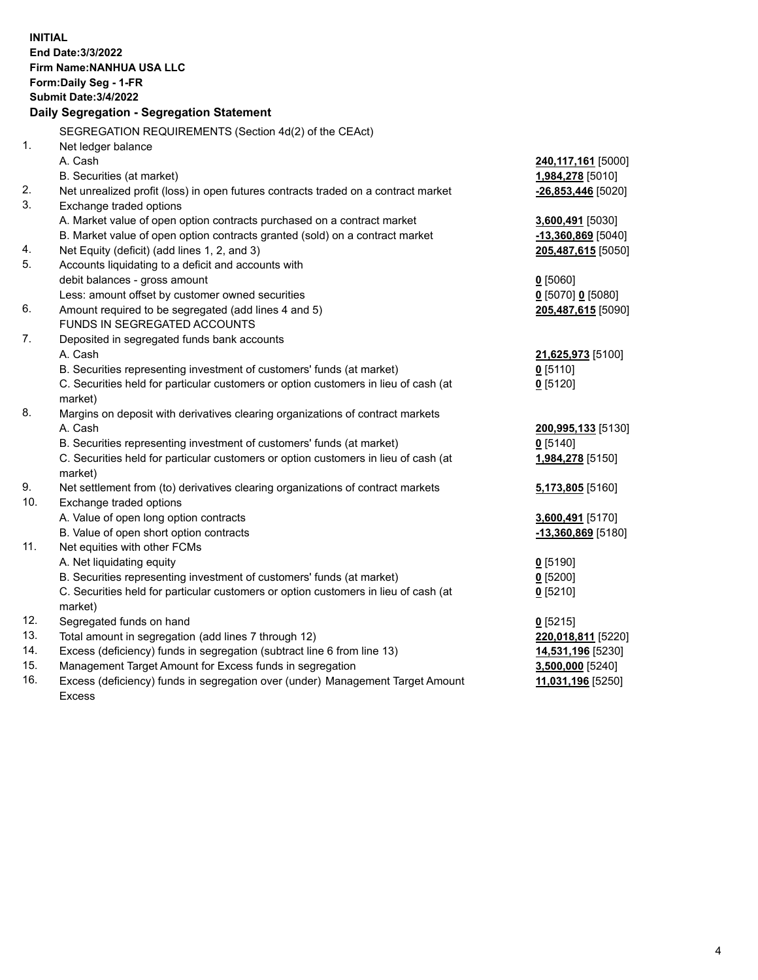| <b>INITIAL</b> | End Date: 3/3/2022<br>Firm Name: NANHUA USA LLC<br>Form: Daily Seg - 1-FR<br><b>Submit Date: 3/4/2022</b><br>Daily Segregation - Segregation Statement |                         |
|----------------|--------------------------------------------------------------------------------------------------------------------------------------------------------|-------------------------|
|                | SEGREGATION REQUIREMENTS (Section 4d(2) of the CEAct)                                                                                                  |                         |
| 1 <sub>1</sub> | Net ledger balance                                                                                                                                     |                         |
|                | A. Cash                                                                                                                                                | 240,117,161 [5000]      |
|                | B. Securities (at market)                                                                                                                              | 1,984,278 [5010]        |
| 2.             | Net unrealized profit (loss) in open futures contracts traded on a contract market                                                                     | $-26,853,446$ [5020]    |
| 3.             | Exchange traded options                                                                                                                                |                         |
|                | A. Market value of open option contracts purchased on a contract market                                                                                | <b>3,600,491</b> [5030] |
| 4.             | B. Market value of open option contracts granted (sold) on a contract market                                                                           | $-13,360,869$ [5040]    |
| 5.             | Net Equity (deficit) (add lines 1, 2, and 3)<br>Accounts liquidating to a deficit and accounts with                                                    | 205,487,615 [5050]      |
|                | debit balances - gross amount                                                                                                                          | $0$ [5060]              |
|                | Less: amount offset by customer owned securities                                                                                                       | $0$ [5070] 0 [5080]     |
| 6.             | Amount required to be segregated (add lines 4 and 5)                                                                                                   | 205,487,615 [5090]      |
|                | FUNDS IN SEGREGATED ACCOUNTS                                                                                                                           |                         |
| 7.             | Deposited in segregated funds bank accounts                                                                                                            |                         |
|                | A. Cash                                                                                                                                                | 21,625,973 [5100]       |
|                | B. Securities representing investment of customers' funds (at market)                                                                                  | $0$ [5110]              |
|                | C. Securities held for particular customers or option customers in lieu of cash (at                                                                    | $0$ [5120]              |
|                | market)                                                                                                                                                |                         |
| 8.             | Margins on deposit with derivatives clearing organizations of contract markets                                                                         |                         |
|                | A. Cash                                                                                                                                                | 200,995,133 [5130]      |
|                | B. Securities representing investment of customers' funds (at market)                                                                                  | $0$ [5140]              |
|                | C. Securities held for particular customers or option customers in lieu of cash (at                                                                    | 1,984,278 [5150]        |
|                | market)                                                                                                                                                |                         |
| 9.             | Net settlement from (to) derivatives clearing organizations of contract markets                                                                        | 5,173,805 [5160]        |
| 10.            | Exchange traded options                                                                                                                                |                         |
|                | A. Value of open long option contracts                                                                                                                 | 3,600,491 [5170]        |
|                | B. Value of open short option contracts                                                                                                                | -13,360,869 [5180]      |
| 11.            | Net equities with other FCMs                                                                                                                           |                         |
|                | A. Net liquidating equity                                                                                                                              | $0$ [5190]              |
|                | B. Securities representing investment of customers' funds (at market)                                                                                  | 0 [5200]                |
|                | C. Securities held for particular customers or option customers in lieu of cash (at<br>market)                                                         | $0$ [5210]              |
| 12.            | Segregated funds on hand                                                                                                                               | $0$ [5215]              |
| 13.            | Total amount in segregation (add lines 7 through 12)                                                                                                   | 220,018,811 [5220]      |
| 14.            | Excess (deficiency) funds in segregation (subtract line 6 from line 13)                                                                                | 14,531,196 [5230]       |
| 15.            | Management Target Amount for Excess funds in segregation                                                                                               | 3,500,000 [5240]        |
| 16.            | Excess (deficiency) funds in segregation over (under) Management Target Amount                                                                         | 11,031,196 [5250]       |
|                | <b>Excess</b>                                                                                                                                          |                         |